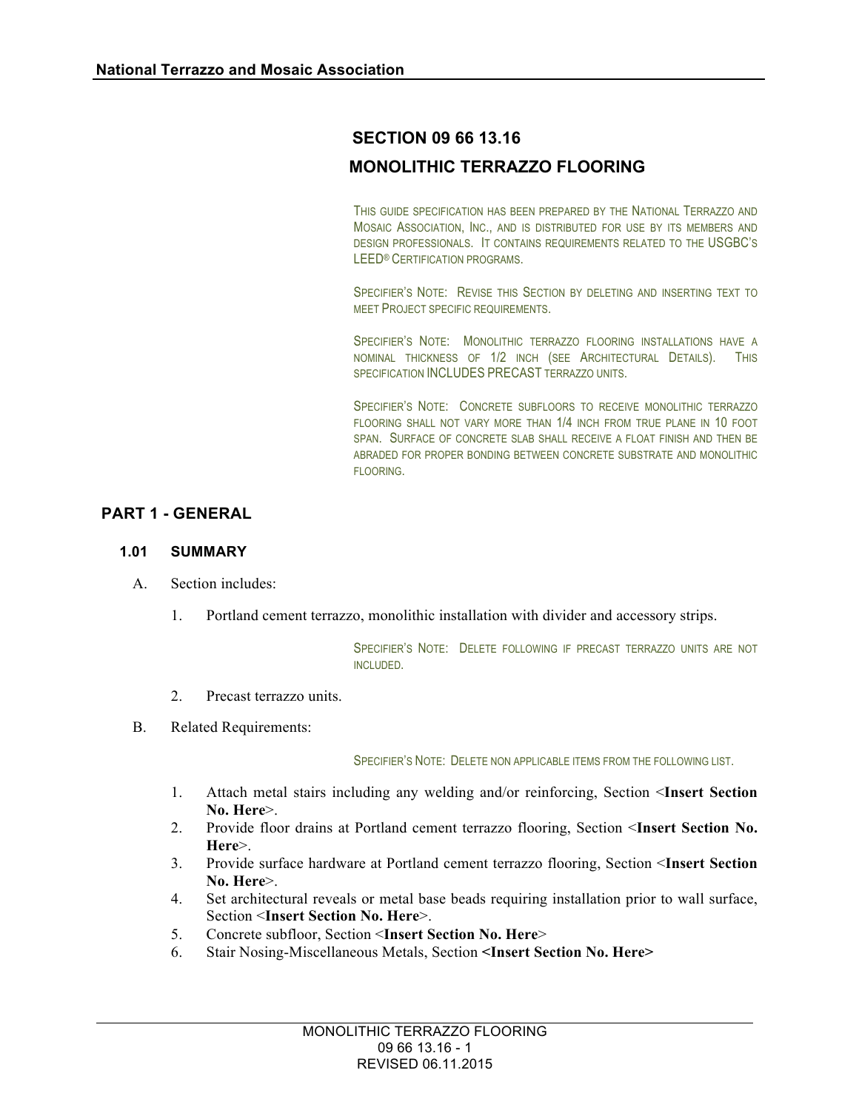# **SECTION 09 66 13.16**

# **MONOLITHIC TERRAZZO FLOORING**

THIS GUIDE SPECIFICATION HAS BEEN PREPARED BY THE NATIONAL TERRAZZO AND MOSAIC ASSOCIATION, INC., AND IS DISTRIBUTED FOR USE BY ITS MEMBERS AND DESIGN PROFESSIONALS. IT CONTAINS REQUIREMENTS RELATED TO THE USGBC'S LEED® CERTIFICATION PROGRAMS.

SPECIFIER'S NOTE: REVISE THIS SECTION BY DELETING AND INSERTING TEXT TO MEET PROJECT SPECIFIC REQUIREMENTS.

SPECIFIER'S NOTE: MONOLITHIC TERRAZZO FLOORING INSTALLATIONS HAVE A NOMINAL THICKNESS OF 1/2 INCH (SEE ARCHITECTURAL DETAILS). THIS SPECIFICATION INCLUDES PRECAST TERRAZZO UNITS.

SPECIFIER'S NOTE: CONCRETE SUBFLOORS TO RECEIVE MONOLITHIC TERRAZZO FLOORING SHALL NOT VARY MORE THAN 1/4 INCH FROM TRUE PLANE IN 10 FOOT SPAN. SURFACE OF CONCRETE SLAB SHALL RECEIVE A FLOAT FINISH AND THEN BE ABRADED FOR PROPER BONDING BETWEEN CONCRETE SUBSTRATE AND MONOLITHIC FLOORING.

## **PART 1 - GENERAL**

#### **1.01 SUMMARY**

- A. Section includes:
	- 1. Portland cement terrazzo, monolithic installation with divider and accessory strips.

SPECIFIER'S NOTE: DELETE FOLLOWING IF PRECAST TERRAZZO UNITS ARE NOT INCLUDED.

- 2. Precast terrazzo units.
- B. Related Requirements:

SPECIFIER'S NOTE: DELETE NON APPLICABLE ITEMS FROM THE FOLLOWING LIST.

- 1. Attach metal stairs including any welding and/or reinforcing, Section <**Insert Section No. Here**>.
- 2. Provide floor drains at Portland cement terrazzo flooring, Section <**Insert Section No. Here**>.
- 3. Provide surface hardware at Portland cement terrazzo flooring, Section <**Insert Section No. Here**>.
- 4. Set architectural reveals or metal base beads requiring installation prior to wall surface, Section <**Insert Section No. Here**>.
- 5. Concrete subfloor, Section <**Insert Section No. Here**>
- 6. Stair Nosing-Miscellaneous Metals, Section **<Insert Section No. Here>**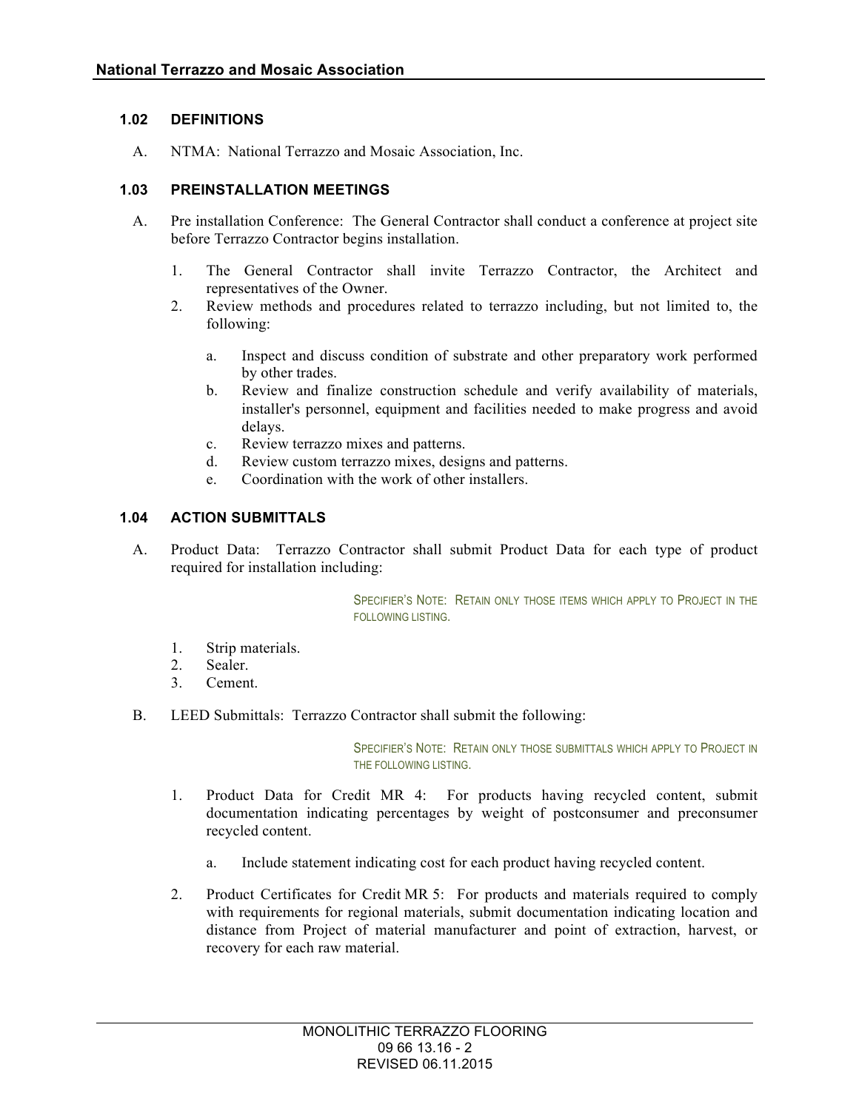## **1.02 DEFINITIONS**

A. NTMA: National Terrazzo and Mosaic Association, Inc.

## **1.03 PREINSTALLATION MEETINGS**

- A. Pre installation Conference: The General Contractor shall conduct a conference at project site before Terrazzo Contractor begins installation.
	- 1. The General Contractor shall invite Terrazzo Contractor, the Architect and representatives of the Owner.
	- 2. Review methods and procedures related to terrazzo including, but not limited to, the following:
		- a. Inspect and discuss condition of substrate and other preparatory work performed by other trades.
		- b. Review and finalize construction schedule and verify availability of materials, installer's personnel, equipment and facilities needed to make progress and avoid delays.
		- c. Review terrazzo mixes and patterns.
		- d. Review custom terrazzo mixes, designs and patterns.
		- e. Coordination with the work of other installers.

## **1.04 ACTION SUBMITTALS**

A. Product Data: Terrazzo Contractor shall submit Product Data for each type of product required for installation including:

> SPECIFIER'S NOTE: RETAIN ONLY THOSE ITEMS WHICH APPLY TO PROJECT IN THE FOLLOWING LISTING.

- 1. Strip materials.
- 2. Sealer.
- 3. Cement.
- B. LEED Submittals: Terrazzo Contractor shall submit the following:

SPECIFIER'S NOTE: RETAIN ONLY THOSE SUBMITTALS WHICH APPLY TO PROJECT IN THE FOLLOWING LISTING.

- 1. Product Data for Credit MR 4: For products having recycled content, submit documentation indicating percentages by weight of postconsumer and preconsumer recycled content.
	- a. Include statement indicating cost for each product having recycled content.
- 2. Product Certificates for Credit MR 5: For products and materials required to comply with requirements for regional materials, submit documentation indicating location and distance from Project of material manufacturer and point of extraction, harvest, or recovery for each raw material.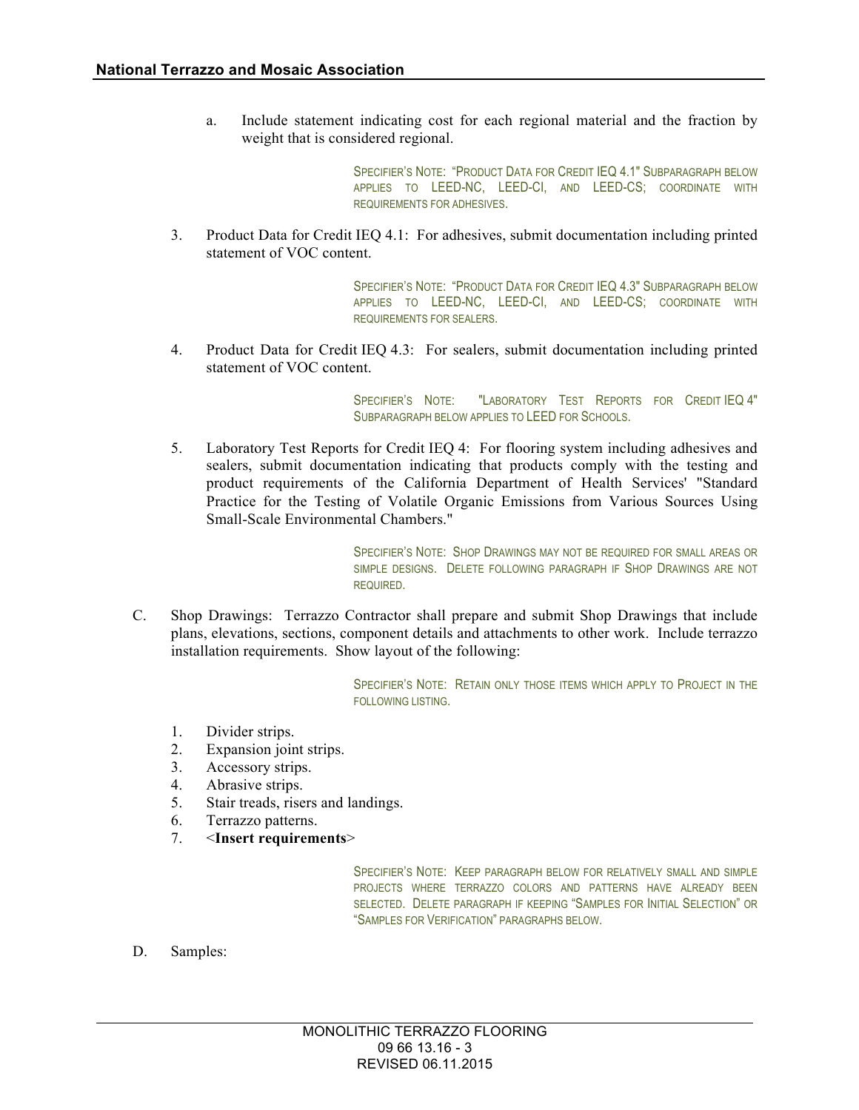a. Include statement indicating cost for each regional material and the fraction by weight that is considered regional.

> SPECIFIER'S NOTE: "PRODUCT DATA FOR CREDIT IEQ 4.1" SUBPARAGRAPH BELOW APPLIES TO LEED-NC, LEED-CI, AND LEED-CS; COORDINATE WITH REQUIREMENTS FOR ADHESIVES.

3. Product Data for Credit IEQ 4.1: For adhesives, submit documentation including printed statement of VOC content.

> SPECIFIER'S NOTE: "PRODUCT DATA FOR CREDIT IEQ 4.3" SUBPARAGRAPH BELOW APPLIES TO LEED-NC, LEED-CI, AND LEED-CS; COORDINATE WITH REQUIREMENTS FOR SEALERS.

4. Product Data for Credit IEQ 4.3: For sealers, submit documentation including printed statement of VOC content.

> SPECIFIER'S NOTE: "LABORATORY TEST REPORTS FOR CREDIT IEQ 4" SUBPARAGRAPH BELOW APPLIES TO LEED FOR SCHOOLS.

5. Laboratory Test Reports for Credit IEQ 4: For flooring system including adhesives and sealers, submit documentation indicating that products comply with the testing and product requirements of the California Department of Health Services' "Standard Practice for the Testing of Volatile Organic Emissions from Various Sources Using Small-Scale Environmental Chambers."

> SPECIFIER'S NOTE: SHOP DRAWINGS MAY NOT BE REQUIRED FOR SMALL AREAS OR SIMPLE DESIGNS. DELETE FOLLOWING PARAGRAPH IF SHOP DRAWINGS ARE NOT REQUIRED.

C. Shop Drawings: Terrazzo Contractor shall prepare and submit Shop Drawings that include plans, elevations, sections, component details and attachments to other work. Include terrazzo installation requirements. Show layout of the following:

> SPECIFIER'S NOTE: RETAIN ONLY THOSE ITEMS WHICH APPLY TO PROJECT IN THE FOLLOWING LISTING.

- 1. Divider strips.
- 2. Expansion joint strips.
- 3. Accessory strips.
- 4. Abrasive strips.
- 5. Stair treads, risers and landings.
- 6. Terrazzo patterns.
- 7. <**Insert requirements**>

SPECIFIER'S NOTE: KEEP PARAGRAPH BELOW FOR RELATIVELY SMALL AND SIMPLE PROJECTS WHERE TERRAZZO COLORS AND PATTERNS HAVE ALREADY BEEN SELECTED. DELETE PARAGRAPH IF KEEPING "SAMPLES FOR INITIAL SELECTION" OR "SAMPLES FOR VERIFICATION" PARAGRAPHS BELOW.

D. Samples: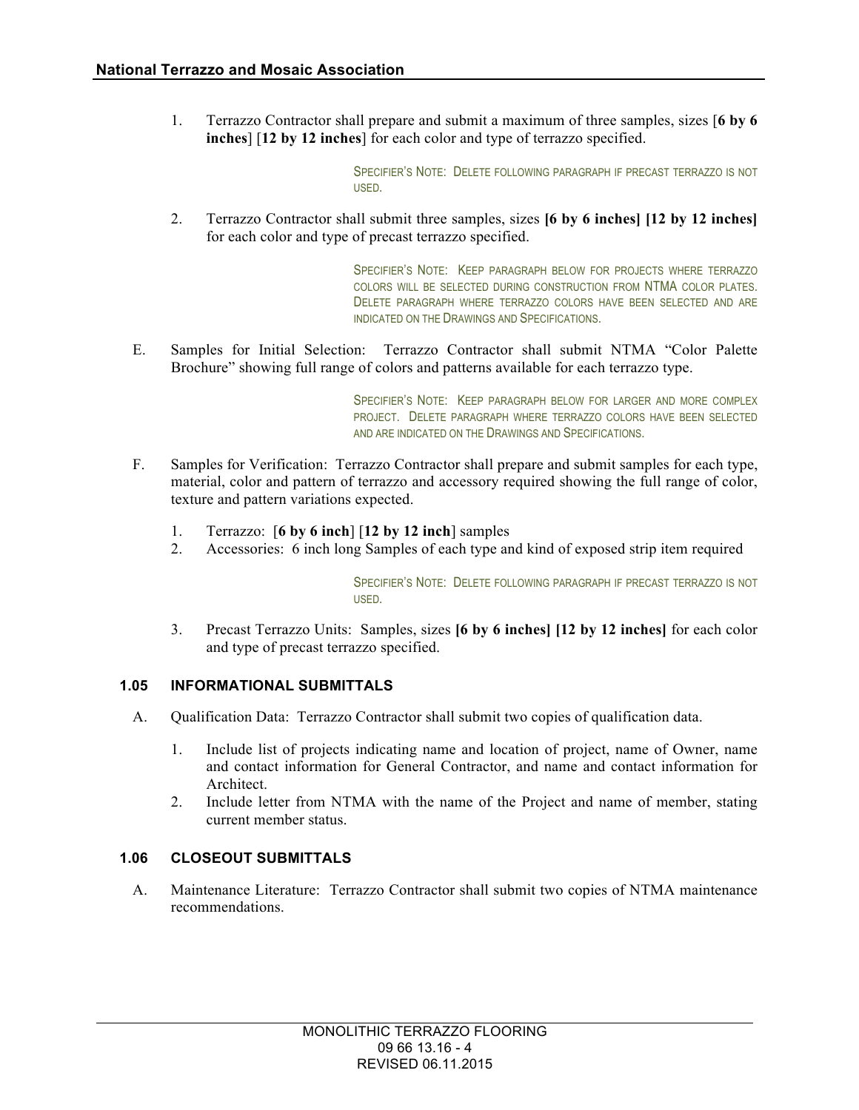1. Terrazzo Contractor shall prepare and submit a maximum of three samples, sizes [**6 by 6 inches**] [**12 by 12 inches**] for each color and type of terrazzo specified.

> SPECIFIER'S NOTE: DELETE FOLLOWING PARAGRAPH IF PRECAST TERRAZZO IS NOT USED.

2. Terrazzo Contractor shall submit three samples, sizes **[6 by 6 inches] [12 by 12 inches]** for each color and type of precast terrazzo specified.

> SPECIFIER'S NOTE: KEEP PARAGRAPH BELOW FOR PROJECTS WHERE TERRAZZO COLORS WILL BE SELECTED DURING CONSTRUCTION FROM NTMA COLOR PLATES. DELETE PARAGRAPH WHERE TERRAZZO COLORS HAVE BEEN SELECTED AND ARE INDICATED ON THE DRAWINGS AND SPECIFICATIONS.

E. Samples for Initial Selection: Terrazzo Contractor shall submit NTMA "Color Palette Brochure" showing full range of colors and patterns available for each terrazzo type.

> SPECIFIER'S NOTE: KEEP PARAGRAPH BELOW FOR LARGER AND MORE COMPLEX PROJECT. DELETE PARAGRAPH WHERE TERRAZZO COLORS HAVE BEEN SELECTED AND ARE INDICATED ON THE DRAWINGS AND SPECIFICATIONS.

- F. Samples for Verification: Terrazzo Contractor shall prepare and submit samples for each type, material, color and pattern of terrazzo and accessory required showing the full range of color, texture and pattern variations expected.
	- 1. Terrazzo: [**6 by 6 inch**] [**12 by 12 inch**] samples
	- 2. Accessories: 6 inch long Samples of each type and kind of exposed strip item required

SPECIFIER'S NOTE: DELETE FOLLOWING PARAGRAPH IF PRECAST TERRAZZO IS NOT USED.

3. Precast Terrazzo Units: Samples, sizes **[6 by 6 inches] [12 by 12 inches]** for each color and type of precast terrazzo specified.

#### **1.05 INFORMATIONAL SUBMITTALS**

- A. Qualification Data: Terrazzo Contractor shall submit two copies of qualification data.
	- 1. Include list of projects indicating name and location of project, name of Owner, name and contact information for General Contractor, and name and contact information for Architect.
	- 2. Include letter from NTMA with the name of the Project and name of member, stating current member status.

#### **1.06 CLOSEOUT SUBMITTALS**

A. Maintenance Literature: Terrazzo Contractor shall submit two copies of NTMA maintenance recommendations.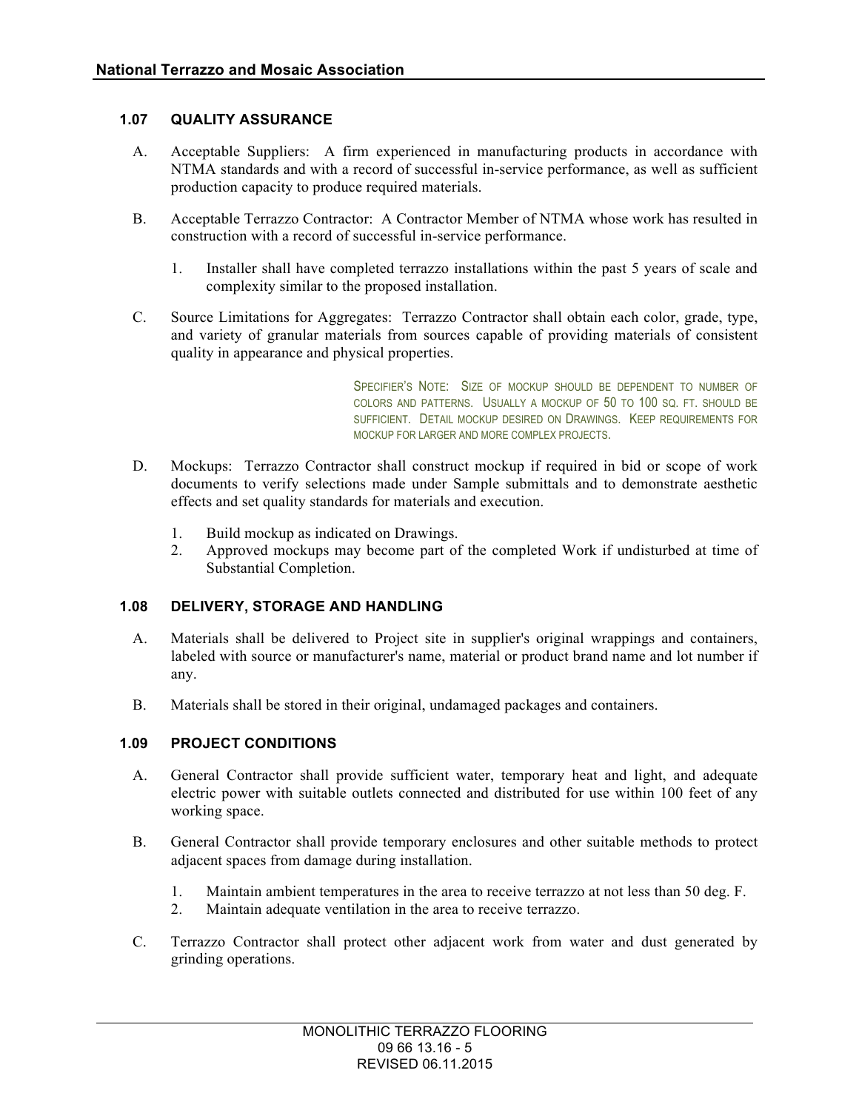## **1.07 QUALITY ASSURANCE**

- A. Acceptable Suppliers: A firm experienced in manufacturing products in accordance with NTMA standards and with a record of successful in-service performance, as well as sufficient production capacity to produce required materials.
- B. Acceptable Terrazzo Contractor: A Contractor Member of NTMA whose work has resulted in construction with a record of successful in-service performance.
	- 1. Installer shall have completed terrazzo installations within the past 5 years of scale and complexity similar to the proposed installation.
- C. Source Limitations for Aggregates: Terrazzo Contractor shall obtain each color, grade, type, and variety of granular materials from sources capable of providing materials of consistent quality in appearance and physical properties.

SPECIFIER'S NOTE: SIZE OF MOCKUP SHOULD BE DEPENDENT TO NUMBER OF COLORS AND PATTERNS. USUALLY A MOCKUP OF 50 TO 100 SQ. FT. SHOULD BE SUFFICIENT. DETAIL MOCKUP DESIRED ON DRAWINGS. KEEP REQUIREMENTS FOR MOCKUP FOR LARGER AND MORE COMPLEX PROJECTS.

- D. Mockups: Terrazzo Contractor shall construct mockup if required in bid or scope of work documents to verify selections made under Sample submittals and to demonstrate aesthetic effects and set quality standards for materials and execution.
	- 1. Build mockup as indicated on Drawings.
	- 2. Approved mockups may become part of the completed Work if undisturbed at time of Substantial Completion.

#### **1.08 DELIVERY, STORAGE AND HANDLING**

- A. Materials shall be delivered to Project site in supplier's original wrappings and containers, labeled with source or manufacturer's name, material or product brand name and lot number if any.
- B. Materials shall be stored in their original, undamaged packages and containers.

### **1.09 PROJECT CONDITIONS**

- A. General Contractor shall provide sufficient water, temporary heat and light, and adequate electric power with suitable outlets connected and distributed for use within 100 feet of any working space.
- B. General Contractor shall provide temporary enclosures and other suitable methods to protect adjacent spaces from damage during installation.
	- 1. Maintain ambient temperatures in the area to receive terrazzo at not less than 50 deg. F.
	- 2. Maintain adequate ventilation in the area to receive terrazzo.
- C. Terrazzo Contractor shall protect other adjacent work from water and dust generated by grinding operations.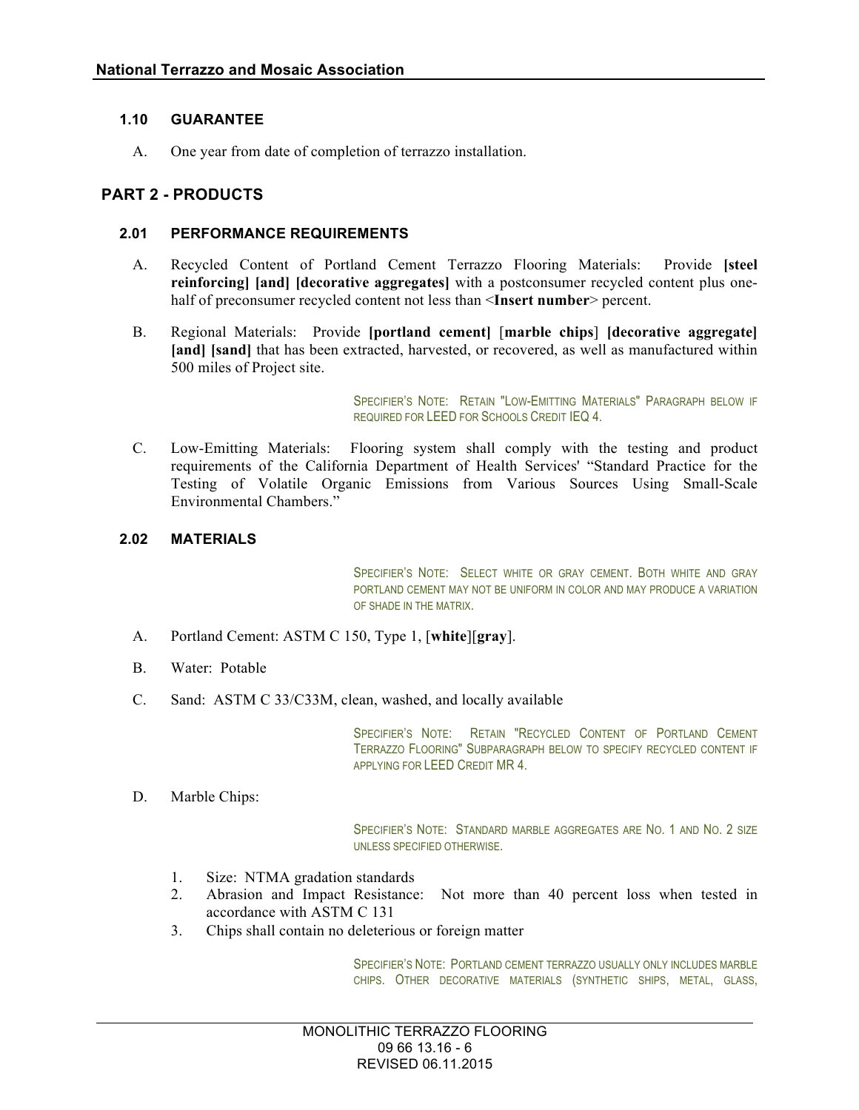## **1.10 GUARANTEE**

A. One year from date of completion of terrazzo installation.

## **PART 2 - PRODUCTS**

#### **2.01 PERFORMANCE REQUIREMENTS**

- A. Recycled Content of Portland Cement Terrazzo Flooring Materials: Provide **[steel reinforcing] [and] [decorative aggregates]** with a postconsumer recycled content plus onehalf of preconsumer recycled content not less than <**Insert number**> percent.
- B. Regional Materials: Provide **[portland cement]** [**marble chips**] **[decorative aggregate] [and] [sand]** that has been extracted, harvested, or recovered, as well as manufactured within 500 miles of Project site.

SPECIFIER'S NOTE: RETAIN "LOW-EMITTING MATERIALS" PARAGRAPH BELOW IF REQUIRED FOR LEED FOR SCHOOLS CREDIT IEQ 4.

C. Low-Emitting Materials: Flooring system shall comply with the testing and product requirements of the California Department of Health Services' "Standard Practice for the Testing of Volatile Organic Emissions from Various Sources Using Small-Scale Environmental Chambers."

## **2.02 MATERIALS**

SPECIFIER'S NOTE: SELECT WHITE OR GRAY CEMENT. BOTH WHITE AND GRAY PORTLAND CEMENT MAY NOT BE UNIFORM IN COLOR AND MAY PRODUCE A VARIATION OF SHADE IN THE MATRIX.

- A. Portland Cement: ASTM C 150, Type 1, [**white**][**gray**].
- B. Water: Potable
- C. Sand: ASTM C 33/C33M, clean, washed, and locally available

SPECIFIER'S NOTE: RETAIN "RECYCLED CONTENT OF PORTLAND CEMENT TERRAZZO FLOORING" SUBPARAGRAPH BELOW TO SPECIFY RECYCLED CONTENT IF APPLYING FOR LEED CREDIT MR 4.

D. Marble Chips:

SPECIFIER'S NOTE: STANDARD MARBLE AGGREGATES ARE NO. 1 AND NO. 2 SIZE UNLESS SPECIFIED OTHERWISE.

- 1. Size: NTMA gradation standards
- 2. Abrasion and Impact Resistance: Not more than 40 percent loss when tested in accordance with ASTM C 131
- 3. Chips shall contain no deleterious or foreign matter

SPECIFIER'S NOTE: PORTLAND CEMENT TERRAZZO USUALLY ONLY INCLUDES MARBLE CHIPS. OTHER DECORATIVE MATERIALS (SYNTHETIC SHIPS, METAL, GLASS,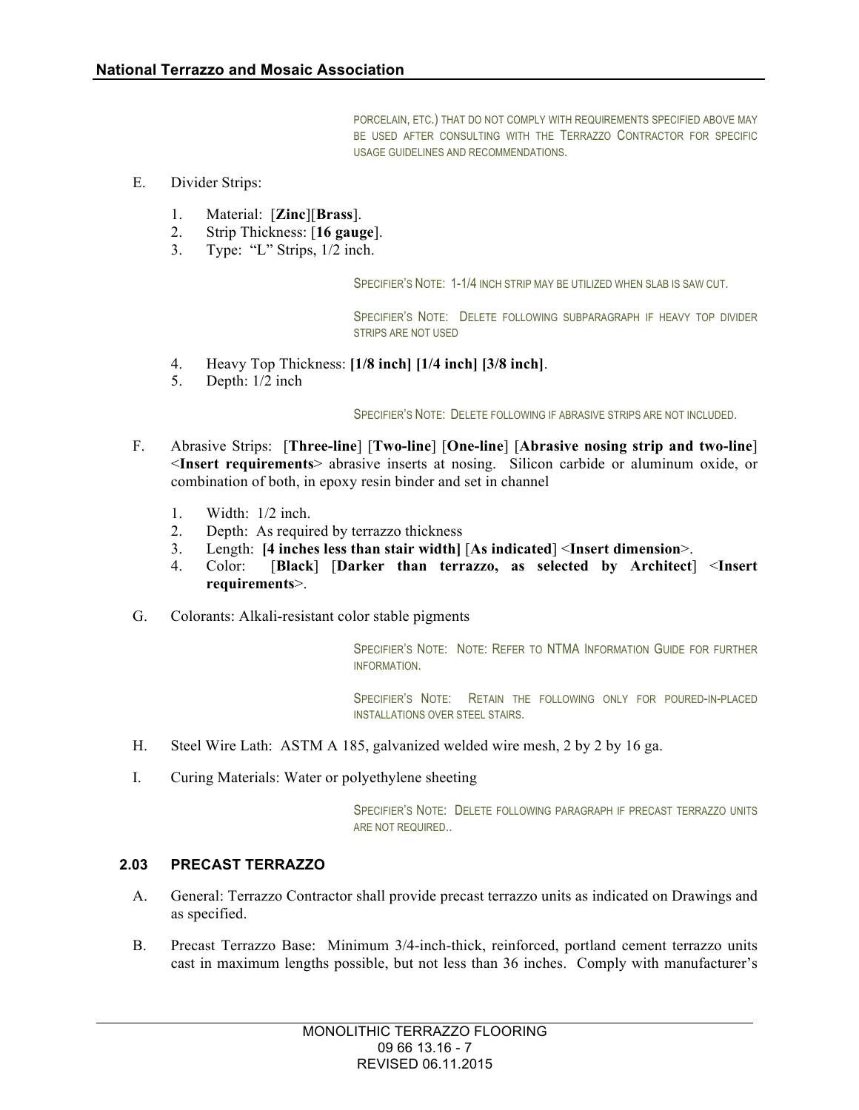PORCELAIN, ETC.) THAT DO NOT COMPLY WITH REQUIREMENTS SPECIFIED ABOVE MAY BE USED AFTER CONSULTING WITH THE TERRAZZO CONTRACTOR FOR SPECIFIC USAGE GUIDELINES AND RECOMMENDATIONS.

- E. Divider Strips:
	- 1. Material: [**Zinc**][**Brass**].
	- 2. Strip Thickness: [**16 gauge**].
	- 3. Type: "L" Strips, 1/2 inch.

SPECIFIER'S NOTE: 1-1/4 INCH STRIP MAY BE UTILIZED WHEN SLAB IS SAW CUT.

SPECIFIER'S NOTE: DELETE FOLLOWING SUBPARAGRAPH IF HEAVY TOP DIVIDER STRIPS ARE NOT USED

- 4. Heavy Top Thickness: **[1/8 inch] [1/4 inch] [3/8 inch]**.
- 5. Depth: 1/2 inch

SPECIFIER'S NOTE: DELETE FOLLOWING IF ABRASIVE STRIPS ARE NOT INCLUDED.

- F. Abrasive Strips: [**Three-line**] [**Two-line**] [**One-line**] [**Abrasive nosing strip and two-line**] <**Insert requirements**> abrasive inserts at nosing. Silicon carbide or aluminum oxide, or combination of both, in epoxy resin binder and set in channel
	- 1. Width: 1/2 inch.
	- 2. Depth: As required by terrazzo thickness
	- 3. Length: **[4 inches less than stair width]** [**As indicated**] <**Insert dimension**>.
	- 4. Color: [**Black**] [**Darker than terrazzo, as selected by Architect**] <**Insert requirements**>.
- G. Colorants: Alkali-resistant color stable pigments

SPECIFIER'S NOTE: NOTE: REFER TO NTMA INFORMATION GUIDE FOR FURTHER INFORMATION.

SPECIFIER'S NOTE: RETAIN THE FOLLOWING ONLY FOR POURED-IN-PLACED INSTALLATIONS OVER STEEL STAIRS.

- H. Steel Wire Lath: ASTM A 185, galvanized welded wire mesh, 2 by 2 by 16 ga.
- I. Curing Materials: Water or polyethylene sheeting

SPECIFIER'S NOTE: DELETE FOLLOWING PARAGRAPH IF PRECAST TERRAZZO UNITS ARE NOT REQUIRED..

#### **2.03 PRECAST TERRAZZO**

- A. General: Terrazzo Contractor shall provide precast terrazzo units as indicated on Drawings and as specified.
- B. Precast Terrazzo Base: Minimum 3/4-inch-thick, reinforced, portland cement terrazzo units cast in maximum lengths possible, but not less than 36 inches. Comply with manufacturer's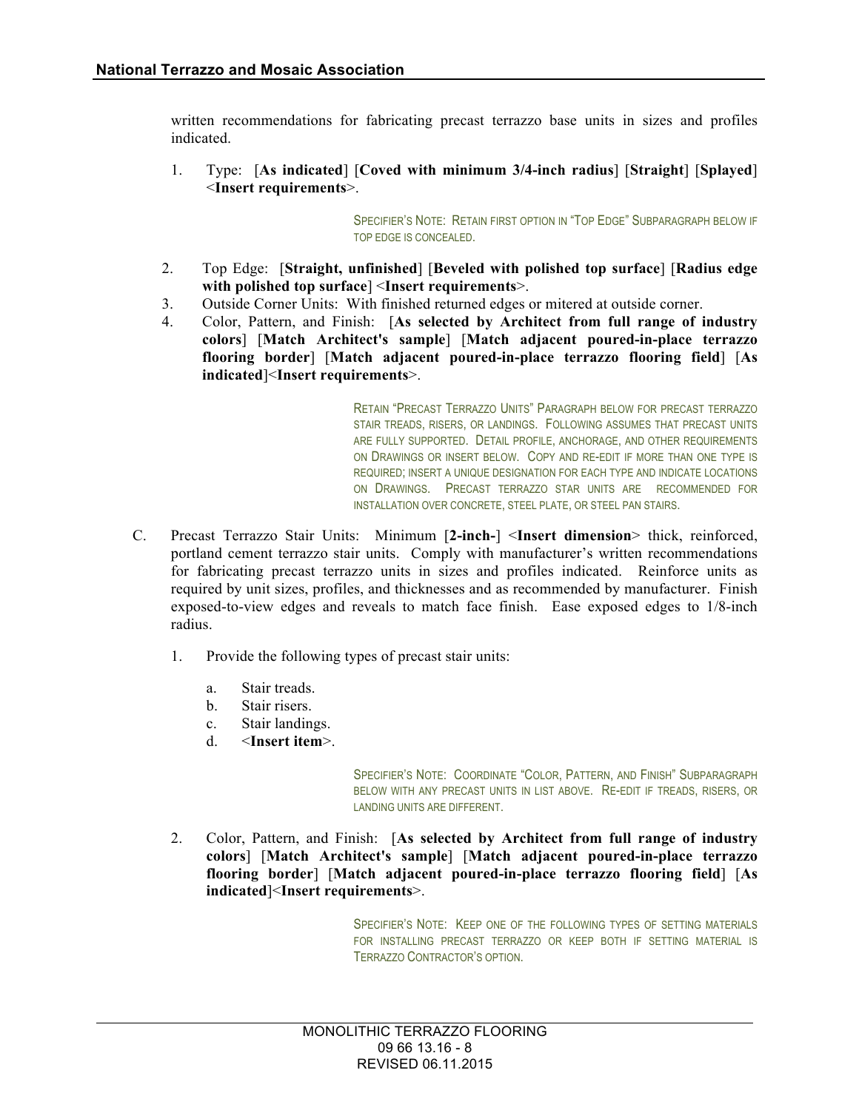written recommendations for fabricating precast terrazzo base units in sizes and profiles indicated.

1. Type: [**As indicated**] [**Coved with minimum 3/4-inch radius**] [**Straight**] [**Splayed**] <**Insert requirements**>.

> SPECIFIER'S NOTE: RETAIN FIRST OPTION IN "TOP EDGE" SUBPARAGRAPH BELOW IF TOP EDGE IS CONCEALED.

- 2. Top Edge: [**Straight, unfinished**] [**Beveled with polished top surface**] [**Radius edge with polished top surface**] <**Insert requirements**>.
- 3. Outside Corner Units: With finished returned edges or mitered at outside corner.
- 4. Color, Pattern, and Finish: [**As selected by Architect from full range of industry colors**] [**Match Architect's sample**] [**Match adjacent poured-in-place terrazzo flooring border**] [**Match adjacent poured-in-place terrazzo flooring field**] [**As indicated**]<**Insert requirements**>.

RETAIN "PRECAST TERRAZZO UNITS" PARAGRAPH BELOW FOR PRECAST TERRAZZO STAIR TREADS, RISERS, OR LANDINGS. FOLLOWING ASSUMES THAT PRECAST UNITS ARE FULLY SUPPORTED. DETAIL PROFILE, ANCHORAGE, AND OTHER REQUIREMENTS ON DRAWINGS OR INSERT BELOW. COPY AND RE-EDIT IF MORE THAN ONE TYPE IS REQUIRED; INSERT A UNIQUE DESIGNATION FOR EACH TYPE AND INDICATE LOCATIONS ON DRAWINGS. PRECAST TERRAZZO STAR UNITS ARE RECOMMENDED FOR INSTALLATION OVER CONCRETE, STEEL PLATE, OR STEEL PAN STAIRS.

- C. Precast Terrazzo Stair Units: Minimum [**2-inch-**] <**Insert dimension**> thick, reinforced, portland cement terrazzo stair units. Comply with manufacturer's written recommendations for fabricating precast terrazzo units in sizes and profiles indicated. Reinforce units as required by unit sizes, profiles, and thicknesses and as recommended by manufacturer. Finish exposed-to-view edges and reveals to match face finish. Ease exposed edges to 1/8-inch radius.
	- 1. Provide the following types of precast stair units:
		- a. Stair treads.
		- b. Stair risers.
		- c. Stair landings.
		- d. <**Insert item**>.

SPECIFIER'S NOTE: COORDINATE "COLOR, PATTERN, AND FINISH" SUBPARAGRAPH BELOW WITH ANY PRECAST UNITS IN LIST ABOVE. RE-EDIT IF TREADS, RISERS, OR LANDING UNITS ARE DIFFERENT.

2. Color, Pattern, and Finish: [**As selected by Architect from full range of industry colors**] [**Match Architect's sample**] [**Match adjacent poured-in-place terrazzo flooring border**] [**Match adjacent poured-in-place terrazzo flooring field**] [**As indicated**]<**Insert requirements**>.

> SPECIFIER'S NOTE: KEEP ONE OF THE FOLLOWING TYPES OF SETTING MATERIALS FOR INSTALLING PRECAST TERRAZZO OR KEEP BOTH IF SETTING MATERIAL IS TERRAZZO CONTRACTOR'S OPTION.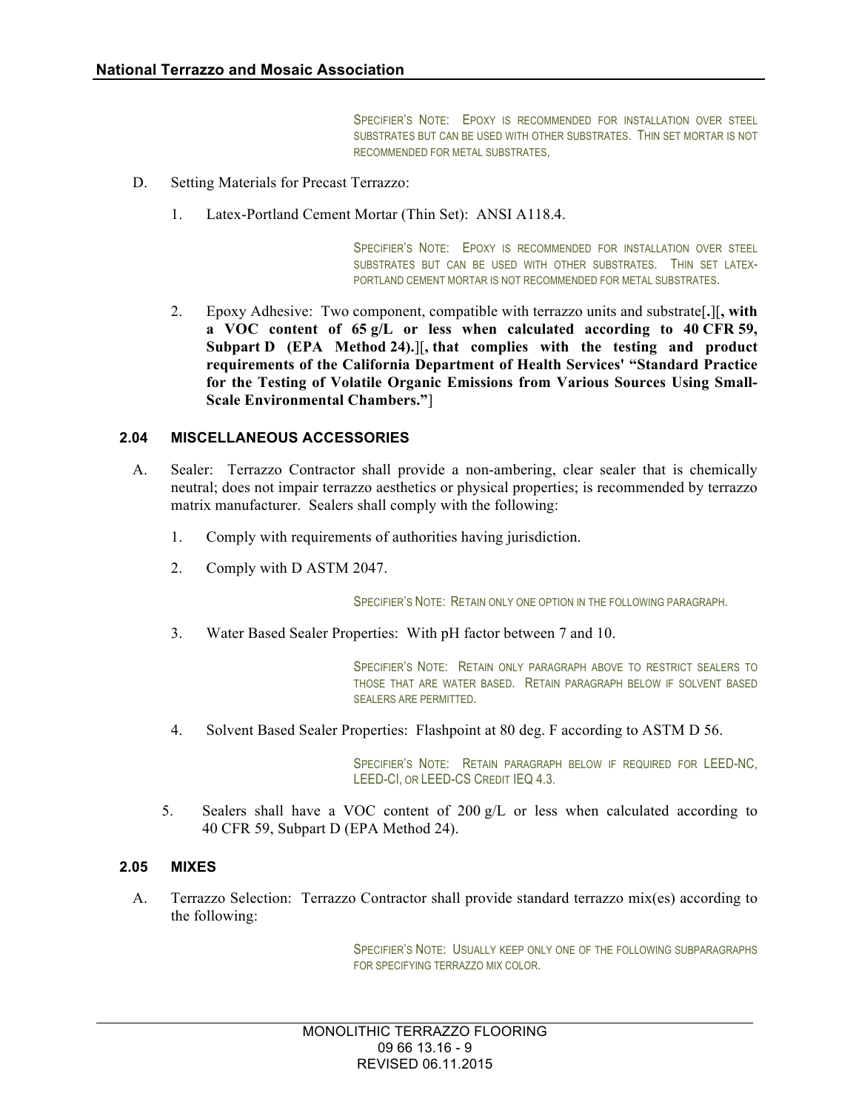SPECIFIER'S NOTE: EPOXY IS RECOMMENDED FOR INSTALLATION OVER STEEL SUBSTRATES BUT CAN BE USED WITH OTHER SUBSTRATES. THIN SET MORTAR IS NOT RECOMMENDED FOR METAL SUBSTRATES,

- D. Setting Materials for Precast Terrazzo:
	- 1. Latex-Portland Cement Mortar (Thin Set): ANSI A118.4.

SPECIFIER'S NOTE: EPOXY IS RECOMMENDED FOR INSTALLATION OVER STEEL SUBSTRATES BUT CAN BE USED WITH OTHER SUBSTRATES. THIN SET LATEX-PORTLAND CEMENT MORTAR IS NOT RECOMMENDED FOR METAL SUBSTRATES.

2. Epoxy Adhesive: Two component, compatible with terrazzo units and substrate[**.**][**, with a VOC content of 65 g/L or less when calculated according to 40 CFR 59, Subpart D (EPA Method 24).**][**, that complies with the testing and product requirements of the California Department of Health Services' "Standard Practice for the Testing of Volatile Organic Emissions from Various Sources Using Small-Scale Environmental Chambers."**]

#### **2.04 MISCELLANEOUS ACCESSORIES**

- A. Sealer: Terrazzo Contractor shall provide a non-ambering, clear sealer that is chemically neutral; does not impair terrazzo aesthetics or physical properties; is recommended by terrazzo matrix manufacturer. Sealers shall comply with the following:
	- 1. Comply with requirements of authorities having jurisdiction.
	- 2. Comply with D ASTM 2047.

SPECIFIER'S NOTE: RETAIN ONLY ONE OPTION IN THE FOLLOWING PARAGRAPH.

3. Water Based Sealer Properties: With pH factor between 7 and 10.

SPECIFIER'S NOTE: RETAIN ONLY PARAGRAPH ABOVE TO RESTRICT SEALERS TO THOSE THAT ARE WATER BASED. RETAIN PARAGRAPH BELOW IF SOLVENT BASED SEALERS ARE PERMITTED.

4. Solvent Based Sealer Properties: Flashpoint at 80 deg. F according to ASTM D 56.

SPECIFIER'S NOTE: RETAIN PARAGRAPH BELOW IF REQUIRED FOR LEED-NC, LEED-CI, OR LEED-CS CREDIT IEQ 4.3.

5. Sealers shall have a VOC content of 200 g/L or less when calculated according to 40 CFR 59, Subpart D (EPA Method 24).

#### **2.05 MIXES**

A. Terrazzo Selection: Terrazzo Contractor shall provide standard terrazzo mix(es) according to the following:

> SPECIFIER'S NOTE: USUALLY KEEP ONLY ONE OF THE FOLLOWING SUBPARAGRAPHS FOR SPECIFYING TERRAZZO MIX COLOR.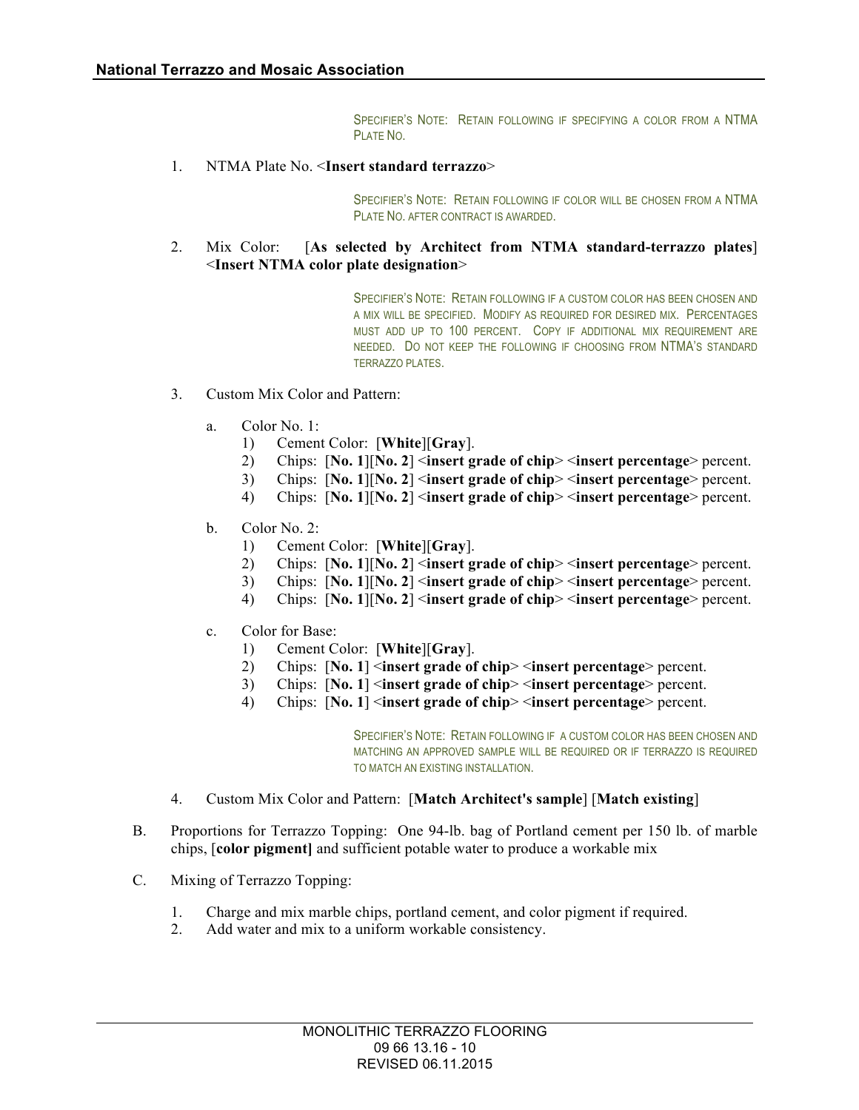SPECIFIER'S NOTE: RETAIN FOLLOWING IF SPECIFYING A COLOR FROM A NTMA **PLATE NO.** 

1. NTMA Plate No. <**Insert standard terrazzo**>

SPECIFIER'S NOTE: RETAIN FOLLOWING IF COLOR WILL BE CHOSEN FROM A NTMA PLATE NO. AFTER CONTRACT IS AWARDED.

2. Mix Color: [**As selected by Architect from NTMA standard-terrazzo plates**] <**Insert NTMA color plate designation**>

> SPECIFIER'S NOTE: RETAIN FOLLOWING IF A CUSTOM COLOR HAS BEEN CHOSEN AND A MIX WILL BE SPECIFIED. MODIFY AS REQUIRED FOR DESIRED MIX. PERCENTAGES MUST ADD UP TO 100 PERCENT. COPY IF ADDITIONAL MIX REQUIREMENT ARE NEEDED. DO NOT KEEP THE FOLLOWING IF CHOOSING FROM NTMA'S STANDARD TERRAZZO PLATES.

- 3. Custom Mix Color and Pattern:
	- a. Color No. 1:
		- 1) Cement Color: [**White**][**Gray**].
		- 2) Chips: [**No. 1**][**No. 2**] <**insert grade of chip**> <**insert percentage**> percent.
		- 3) Chips: [**No. 1**][**No. 2**] <**insert grade of chip**> <**insert percentage**> percent.
		- 4) Chips: [**No. 1**][**No. 2**] <**insert grade of chip**> <**insert percentage**> percent.
	- b. Color No. 2:
		- 1) Cement Color: [**White**][**Gray**].
		- 2) Chips: [**No. 1**][**No. 2**] <**insert grade of chip**> <**insert percentage**> percent.
		- 3) Chips: [**No. 1**][**No. 2**] <**insert grade of chip**> <**insert percentage**> percent.
		- 4) Chips: [**No. 1**][**No. 2**] <**insert grade of chip**> <**insert percentage**> percent.
	- c. Color for Base:
		- 1) Cement Color: [**White**][**Gray**].
		- 2) Chips: [**No. 1**] <**insert grade of chip**> <**insert percentage**> percent.
		- 3) Chips: [**No. 1**] <**insert grade of chip**> <**insert percentage**> percent.
		- 4) Chips: [**No. 1**] <**insert grade of chip**> <**insert percentage**> percent.

SPECIFIER'S NOTE: RETAIN FOLLOWING IF A CUSTOM COLOR HAS BEEN CHOSEN AND MATCHING AN APPROVED SAMPLE WILL BE REQUIRED OR IF TERRAZZO IS REQUIRED TO MATCH AN EXISTING INSTALLATION.

- 4. Custom Mix Color and Pattern: [**Match Architect's sample**] [**Match existing**]
- B. Proportions for Terrazzo Topping: One 94-lb. bag of Portland cement per 150 lb. of marble chips, [**color pigment]** and sufficient potable water to produce a workable mix
- C. Mixing of Terrazzo Topping:
	- 1. Charge and mix marble chips, portland cement, and color pigment if required.
	- 2. Add water and mix to a uniform workable consistency.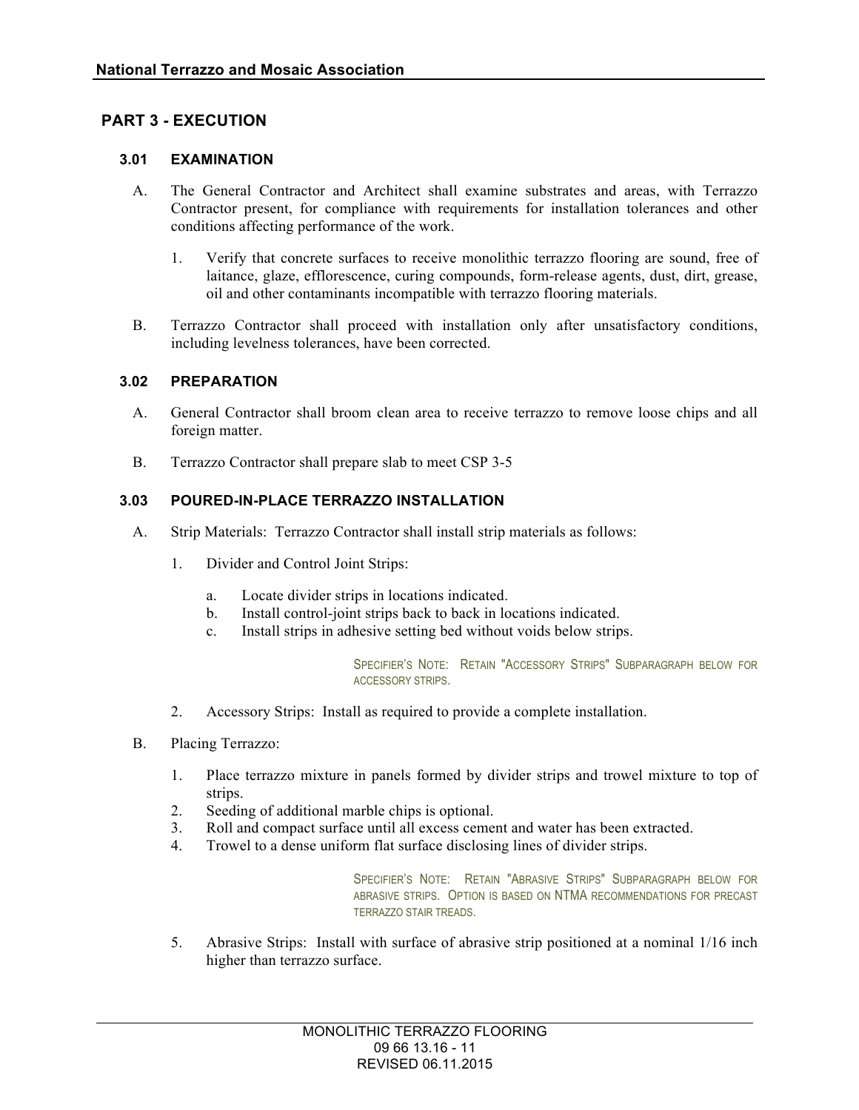## **PART 3 - EXECUTION**

#### **3.01 EXAMINATION**

- A. The General Contractor and Architect shall examine substrates and areas, with Terrazzo Contractor present, for compliance with requirements for installation tolerances and other conditions affecting performance of the work.
	- 1. Verify that concrete surfaces to receive monolithic terrazzo flooring are sound, free of laitance, glaze, efflorescence, curing compounds, form-release agents, dust, dirt, grease, oil and other contaminants incompatible with terrazzo flooring materials.
- B. Terrazzo Contractor shall proceed with installation only after unsatisfactory conditions, including levelness tolerances, have been corrected.

#### **3.02 PREPARATION**

- A. General Contractor shall broom clean area to receive terrazzo to remove loose chips and all foreign matter.
- B. Terrazzo Contractor shall prepare slab to meet CSP 3-5

#### **3.03 POURED-IN-PLACE TERRAZZO INSTALLATION**

- A. Strip Materials: Terrazzo Contractor shall install strip materials as follows:
	- 1. Divider and Control Joint Strips:
		- a. Locate divider strips in locations indicated.
		- b. Install control-joint strips back to back in locations indicated.
		- c. Install strips in adhesive setting bed without voids below strips.

SPECIFIER'S NOTE: RETAIN "ACCESSORY STRIPS" SUBPARAGRAPH BELOW FOR ACCESSORY STRIPS.

- 2. Accessory Strips: Install as required to provide a complete installation.
- B. Placing Terrazzo:
	- 1. Place terrazzo mixture in panels formed by divider strips and trowel mixture to top of strips.
	- 2. Seeding of additional marble chips is optional.
	- 3. Roll and compact surface until all excess cement and water has been extracted.
	- 4. Trowel to a dense uniform flat surface disclosing lines of divider strips.

SPECIFIER'S NOTE: RETAIN "ABRASIVE STRIPS" SUBPARAGRAPH BELOW FOR ABRASIVE STRIPS. OPTION IS BASED ON NTMA RECOMMENDATIONS FOR PRECAST TERRAZZO STAIR TREADS.

5. Abrasive Strips: Install with surface of abrasive strip positioned at a nominal 1/16 inch higher than terrazzo surface.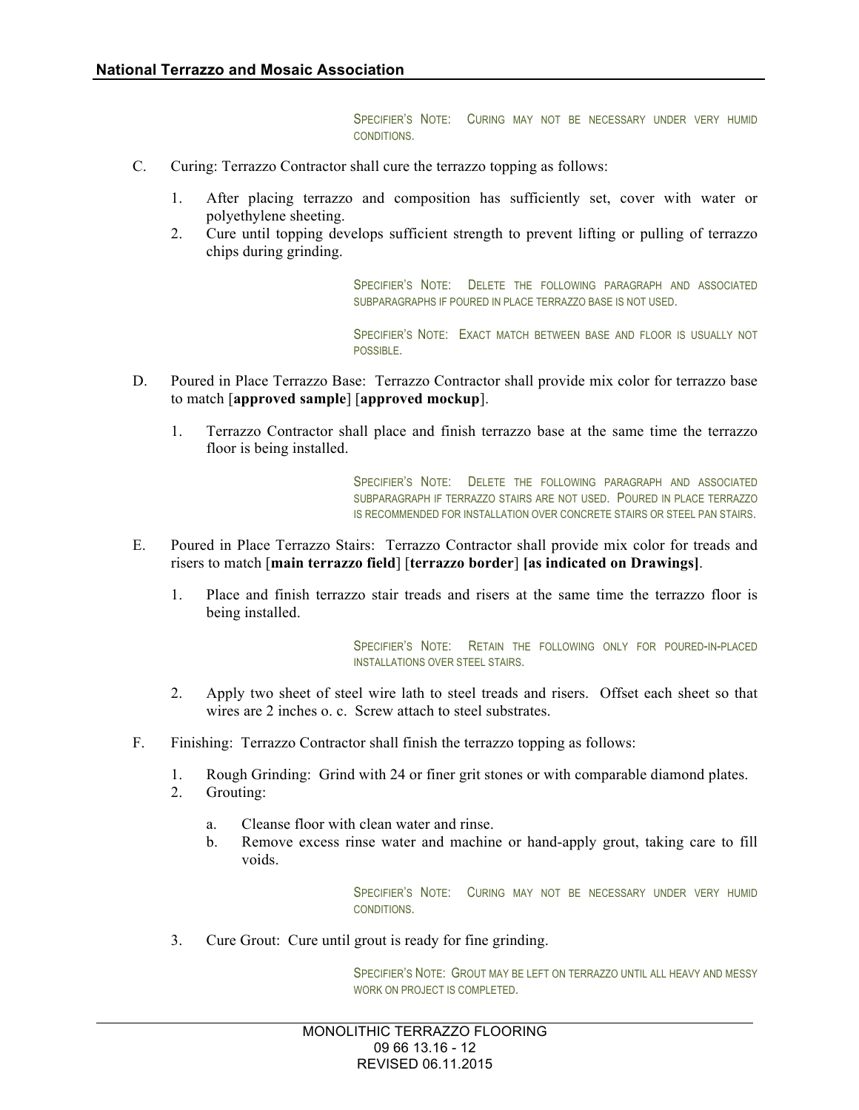SPECIFIER'S NOTE: CURING MAY NOT BE NECESSARY UNDER VERY HUMID **CONDITIONS** 

- C. Curing: Terrazzo Contractor shall cure the terrazzo topping as follows:
	- 1. After placing terrazzo and composition has sufficiently set, cover with water or polyethylene sheeting.
	- 2. Cure until topping develops sufficient strength to prevent lifting or pulling of terrazzo chips during grinding.

SPECIFIER'S NOTE: DELETE THE FOLLOWING PARAGRAPH AND ASSOCIATED SUBPARAGRAPHS IF POURED IN PLACE TERRAZZO BASE IS NOT USED.

SPECIFIER'S NOTE: EXACT MATCH BETWEEN BASE AND FLOOR IS USUALLY NOT POSSIBLE.

- D. Poured in Place Terrazzo Base: Terrazzo Contractor shall provide mix color for terrazzo base to match [**approved sample**] [**approved mockup**].
	- 1. Terrazzo Contractor shall place and finish terrazzo base at the same time the terrazzo floor is being installed.

SPECIFIER'S NOTE: DELETE THE FOLLOWING PARAGRAPH AND ASSOCIATED SUBPARAGRAPH IF TERRAZZO STAIRS ARE NOT USED. POURED IN PLACE TERRAZZO IS RECOMMENDED FOR INSTALLATION OVER CONCRETE STAIRS OR STEEL PAN STAIRS.

- E. Poured in Place Terrazzo Stairs: Terrazzo Contractor shall provide mix color for treads and risers to match [**main terrazzo field**] [**terrazzo border**] **[as indicated on Drawings]**.
	- 1. Place and finish terrazzo stair treads and risers at the same time the terrazzo floor is being installed.

SPECIFIER'S NOTE: RETAIN THE FOLLOWING ONLY FOR POURED-IN-PLACED INSTALLATIONS OVER STEEL STAIRS.

- 2. Apply two sheet of steel wire lath to steel treads and risers. Offset each sheet so that wires are 2 inches o. c. Screw attach to steel substrates.
- F. Finishing: Terrazzo Contractor shall finish the terrazzo topping as follows:
	- 1. Rough Grinding: Grind with 24 or finer grit stones or with comparable diamond plates. 2. Grouting:
		- a. Cleanse floor with clean water and rinse.
		- b. Remove excess rinse water and machine or hand-apply grout, taking care to fill voids.

SPECIFIER'S NOTE: CURING MAY NOT BE NECESSARY UNDER VERY HUMID CONDITIONS.

3. Cure Grout: Cure until grout is ready for fine grinding.

SPECIFIER'S NOTE: GROUT MAY BE LEFT ON TERRAZZO UNTIL ALL HEAVY AND MESSY WORK ON PROJECT IS COMPLETED.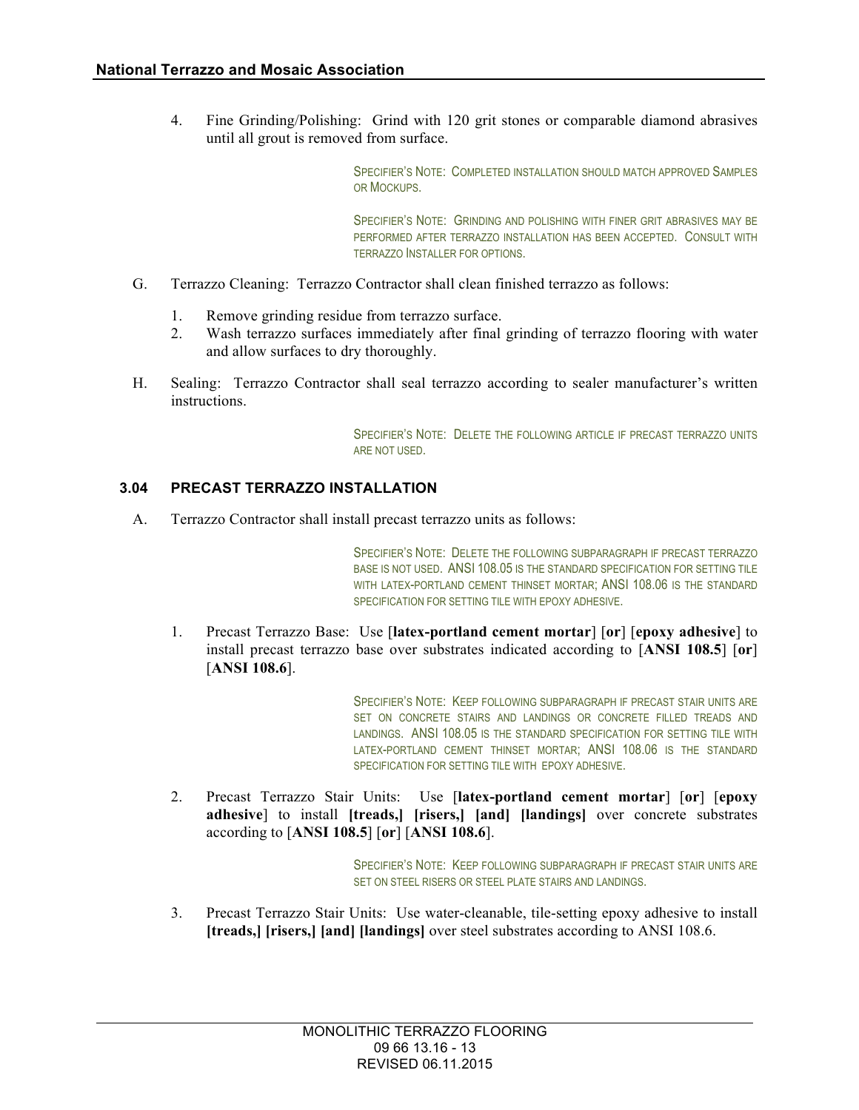4. Fine Grinding/Polishing: Grind with 120 grit stones or comparable diamond abrasives until all grout is removed from surface.

> SPECIFIER'S NOTE: COMPLETED INSTALLATION SHOULD MATCH APPROVED SAMPLES OR MOCKUPS.

> SPECIFIER'S NOTE: GRINDING AND POLISHING WITH FINER GRIT ABRASIVES MAY BE PERFORMED AFTER TERRAZZO INSTALLATION HAS BEEN ACCEPTED. CONSULT WITH TERRAZZO INSTALLER FOR OPTIONS.

- G. Terrazzo Cleaning: Terrazzo Contractor shall clean finished terrazzo as follows:
	- 1. Remove grinding residue from terrazzo surface.
	- 2. Wash terrazzo surfaces immediately after final grinding of terrazzo flooring with water and allow surfaces to dry thoroughly.
- H. Sealing: Terrazzo Contractor shall seal terrazzo according to sealer manufacturer's written instructions.

SPECIFIER'S NOTE: DELETE THE FOLLOWING ARTICLE IF PRECAST TERRAZZO UNITS ARE NOT USED.

#### **3.04 PRECAST TERRAZZO INSTALLATION**

A. Terrazzo Contractor shall install precast terrazzo units as follows:

SPECIFIER'S NOTE: DELETE THE FOLLOWING SUBPARAGRAPH IF PRECAST TERRAZZO BASE IS NOT USED. ANSI 108.05 IS THE STANDARD SPECIFICATION FOR SETTING TILE WITH LATEX-PORTLAND CEMENT THINSET MORTAR: ANSI 108.06 IS THE STANDARD SPECIFICATION FOR SETTING TILE WITH EPOXY ADHESIVE.

1. Precast Terrazzo Base: Use [**latex-portland cement mortar**] [**or**] [**epoxy adhesive**] to install precast terrazzo base over substrates indicated according to [**ANSI 108.5**] [**or**] [**ANSI 108.6**].

> SPECIFIER'S NOTE: KEEP FOLLOWING SUBPARAGRAPH IF PRECAST STAIR UNITS ARE SET ON CONCRETE STAIRS AND LANDINGS OR CONCRETE FILLED TREADS AND LANDINGS. ANSI 108.05 IS THE STANDARD SPECIFICATION FOR SETTING TILE WITH LATEX-PORTLAND CEMENT THINSET MORTAR; ANSI 108.06 IS THE STANDARD SPECIFICATION FOR SETTING TILE WITH EPOXY ADHESIVE.

2. Precast Terrazzo Stair Units: Use [**latex-portland cement mortar**] [**or**] [**epoxy adhesive**] to install **[treads,] [risers,] [and] [landings]** over concrete substrates according to [**ANSI 108.5**] [**or**] [**ANSI 108.6**].

> SPECIFIER'S NOTE: KEEP FOLLOWING SUBPARAGRAPH IF PRECAST STAIR UNITS ARE SET ON STEEL RISERS OR STEEL PLATE STAIRS AND LANDINGS.

3. Precast Terrazzo Stair Units: Use water-cleanable, tile-setting epoxy adhesive to install **[treads,] [risers,] [and] [landings]** over steel substrates according to ANSI 108.6.